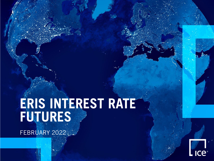# **ERIS INTEREST RATE FUTURES**

FEBRUARY 2022.

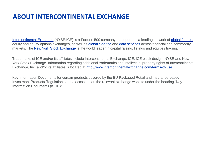## **ABOUT INTERCONTINENTAL EXCHANGE**

[Intercontinental Exchange](https://www.intercontinentalexchange.com/about) (NYSE:ICE) is a Fortune 500 company that operates a leading network of [global futures,](https://www.theice.com/trade) equity and equity options exchanges, as well as [global clearing](https://www.theice.com/clearing) and [data services](https://www.theice.com/market-data) across financial and commodity markets. The [New York Stock Exchange](https://www.nyse.com/index) is the world leader in capital raising, listings and equities trading.

Trademarks of ICE and/or its affiliates include Intercontinental Exchange, ICE, ICE block design, NYSE and New York Stock Exchange. Information regarding additional trademarks and intellectual property rights of Intercontinental Exchange, Inc. and/or its affiliates is located at <http://www.intercontinentalexchange.com/terms-of-use>.

Key Information Documents for certain products covered by the EU Packaged Retail and Insurance-based Investment Products Regulation can be accessed on the relevant exchange website under the heading "Key Information Documents (KIDS)".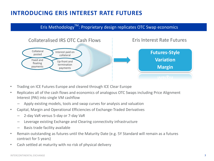#### **INTRODUCING ERIS INTEREST RATE FUTURES**

Eris Methodology<sup>TM</sup>: Proprietary design replicates OTC Swap economics



- Trading on ICE Futures Europe and cleared through ICE Clear Europe
- Replicates all of the cash flows and economics of analogous OTC Swaps including Price Alignment Interest (PAI) into single VM cashflow
	- Apply existing models, tools and swap curves for analysis and valuation
- Capital, Margin and Operational Efficiencies of Exchange-Traded Derivatives
	- 2-day VaR versus 5-day or 7-day VaR
	- Leverage existing Exchange and Clearing connectivity infrastructure
	- Basis trade facility available
- Remain outstanding as futures until the Maturity Date (e.g. 5Y Standard will remain as a futures contract for 5 years)
- Cash settled at maturity with no risk of physical delivery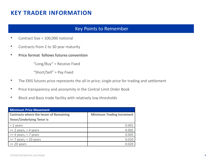#### **KEY TRADER INFORMATION**

#### Key Points to Remember

- Contract Size = 100,000 notional
- Contracts from 2 to 30 year maturity
- **Price format follows futures convention**

"Long/Buy" = Receive Fixed

"Short/Sell" = Pay Fixed

- The ERIS futures price represents the all-in price; single price for trading and settlement
- Price transparency and anonymity in the Central Limit Order Book
- Block and Basis trade facility with relatively low thresholds

| <b>Minimum Price Movement</b>                  |                                  |  |  |
|------------------------------------------------|----------------------------------|--|--|
| <b>Contracts where the lesser of Remaining</b> | <b>Minimum Trading Increment</b> |  |  |
| <b>Tenor/Underlying Tenor is</b>               |                                  |  |  |
| $<$ 2 years                                    | 0.001                            |  |  |
| $>= 2$ years, < 4 years                        | 0.002                            |  |  |
| $>= 4$ years, < 7 years                        | 0.005                            |  |  |
| $>= 7$ years, < 20 years                       | 0.010                            |  |  |
| $>= 20$ years                                  |                                  |  |  |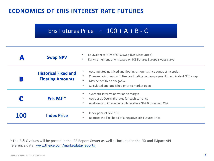#### **ECONOMICS OF ERIS INTEREST RATE FUTURES**

## Eris Futures Price  $= 100 + A + B - C$

|     | <b>Swap NPV</b>                                        | Equivalent to NPV of OTC swap (OIS Discounted)<br>Daily settlement of A is based on ICE Futures Europe swaps curve                                                                                                                                                 |
|-----|--------------------------------------------------------|--------------------------------------------------------------------------------------------------------------------------------------------------------------------------------------------------------------------------------------------------------------------|
| B   | <b>Historical Fixed and</b><br><b>Floating Amounts</b> | ۰<br>Accumulated net fixed and floating amounts since contract inception<br>Changes coincident with fixed or floating coupon payment in equivalent OTC swap<br>٠<br>$\bullet$<br>May be positive or negative<br>Calculated and published prior to market open<br>٠ |
|     | Eris PAI <sup>TM</sup>                                 | Synthetic interest on variation margin<br>Accrues at Overnight rates for each currency<br>۰<br>$\bullet$<br>Analogous to interest on collateral in a GBP 0 threshold CSA                                                                                           |
| 100 | <b>Index Price</b>                                     | Index price of GBP 100<br>Reduces the likelihood of a negative Eris Futures Price<br>٠                                                                                                                                                                             |

 $1$  The B & C values will be posted in the ICE Report Center as well as included in the FIX and iMpact API reference data: [www.theice.com/marketdata/reports](http://www.theice.com/marketdata/reports)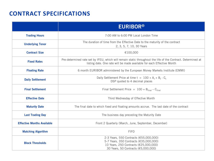## **CONTRACT SPECIFICATIONS**

|                                   | <b>EURIBOR®</b>                                                                                                                                                                        |  |  |
|-----------------------------------|----------------------------------------------------------------------------------------------------------------------------------------------------------------------------------------|--|--|
| <b>Trading Hours</b>              | 7:00 AM to 6:00 PM Local London Time                                                                                                                                                   |  |  |
| <b>Underlying Tenor</b>           | The duration of time from the Effective Date to the maturity of the contract<br>2, 3, 5, 7, 10, 30 Years                                                                               |  |  |
| <b>Contract Size</b>              | €100,000                                                                                                                                                                               |  |  |
| <b>Fixed Rates</b>                | Pre-determined rate set by IFEU, which will remain static throughout the life of the Contract. Determined at<br>listing date. One rate will be made available for each Effective Month |  |  |
| <b>Floating Rate</b>              | 6 month EURIBOR administered by the European Money Markets Institute (EMMI)                                                                                                            |  |  |
| <b>Daily Settlement</b>           | Daily Settlement Price at time $t = 100 + A_t + B_t - C_t$<br>DSP quoted to 4 decimal places                                                                                           |  |  |
| <b>Final Settlement</b>           | Final Settlement Price = $100 + Bfinal - Cfinal$                                                                                                                                       |  |  |
| <b>Effective Date</b>             | Third Wednesday of Effective Month                                                                                                                                                     |  |  |
| <b>Maturity Date</b>              | The final date to which fixed and floating amounts accrue. The last date of the contract                                                                                               |  |  |
| <b>Last Trading Day</b>           | The business day preceding the Maturity Date                                                                                                                                           |  |  |
| <b>Effective Months Available</b> | Front 2 Quarterly (March, June, September, December)                                                                                                                                   |  |  |
| <b>Matching Algorithm</b>         | <b>FIFO</b>                                                                                                                                                                            |  |  |
| <b>Block Thresholds</b>           | 2-3 Years, 550 Contracts (€55,000,000)<br>5-7 Years, 350 Contracts (€35,000,000)<br>10 Years, 250 Contracts (€25,000,000)<br>30 Years, 50 Contracts (€5,000,000)                       |  |  |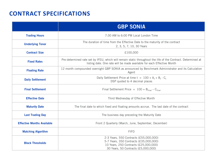## **CONTRACT SPECIFICATIONS**

|                                   | <b>GBP SONIA</b>                                                                                                                                                                       |  |  |
|-----------------------------------|----------------------------------------------------------------------------------------------------------------------------------------------------------------------------------------|--|--|
| <b>Trading Hours</b>              | 7:30 AM to 6:00 PM Local London Time                                                                                                                                                   |  |  |
| <b>Underlying Tenor</b>           | The duration of time from the Effective Date to the maturity of the contract<br>2, 3, 5, 7, 10, 30 Years                                                                               |  |  |
| <b>Contract Size</b>              | £100,000                                                                                                                                                                               |  |  |
| <b>Fixed Rates</b>                | Pre-determined rate set by IFEU, which will remain static throughout the life of the Contract. Determined at<br>listing date. One rate will be made available for each Effective Month |  |  |
| <b>Floating Rate</b>              | 12 month compounded overnight GBP SONIA as announced by Benchmark Administrator and its Calculation<br>Agent                                                                           |  |  |
| <b>Daily Settlement</b>           | Daily Settlement Price at time $t = 100 + A_t + B_t - C_t$<br>DSP quoted to 4 decimal places                                                                                           |  |  |
| <b>Final Settlement</b>           | Final Settlement Price = $100 + Bfinal - Cfinal$                                                                                                                                       |  |  |
| <b>Effective Date</b>             | Third Wednesday of Effective Month                                                                                                                                                     |  |  |
| <b>Maturity Date</b>              | The final date to which fixed and floating amounts accrue. The last date of the contract                                                                                               |  |  |
| <b>Last Trading Day</b>           | The business day preceding the Maturity Date                                                                                                                                           |  |  |
| <b>Effective Months Available</b> | Front 2 Quarterly (March, June, September, December)                                                                                                                                   |  |  |
| <b>Matching Algorithm</b>         | <b>FIFO</b>                                                                                                                                                                            |  |  |
| <b>Block Thresholds</b>           | 2-3 Years, 550 Contracts (£55,000,000)<br>5-7 Years, 350 Contracts (£35,000,000)<br>10 Years, 250 Contracts (£25,000,000)<br>30 Years, 50 Contracts (£5,000,000)                       |  |  |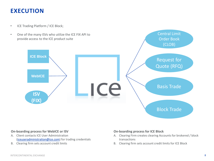#### **EXECUTION**

- ICE Trading Platform / ICE Block;
- One of the many ISVs who utilize the ICE FIX API to provide access to the ICE product suite



#### **On-boarding process for WebICE or ISV**

- A. Client contacts ICE User Administration [\(iceuseradministration@ice.com](mailto:iceuseradministration@ice.com)) for trading credentials
- B. Clearing firm sets account credit limits

#### **On-boarding process for ICE Block**

A. Clearing Firm creates clearing Accounts for brokered / block transactions

Central Limit

B. Clearing firm sets account credit limits for ICE Block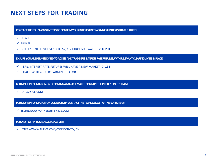#### **NEXT STEPS FOR TRADING**

**CONTACT THE FOLLOWING ENTITIES TO CONFIRM YOUR INTEREST IN TRADING ERIS INTEREST RATE FUTURES**

✓ CLEARER

✓ BROKER

✓ INDEPENDENT SERVICE VENDOR (ISV) / IN-HOUSE SOFTWARE DEVELOPER

**ENSURE YOU ARE PERMISSIONED TO ACCESS AND TRADE ERIS INTEREST RATE FUTURES, WITH RELEVANT CLEARING LIMITS IN PLACE**

- ✓ ERIS INTEREST RATE FUTURES WILL HAVE A NEW MARKET ID: **131**
- ✓ LIAISE WITH YOUR ICE ADMINISTRATOR

**FOR MORE INFORMATION ON BECOMING A MARKET MAKER CONTACT THE INTEREST RATES TEAM**

✓ RATES@ICE.COM

**FOR MORE INFORMATION ON CONNECTIVITY CONTACT THE TECHNOLOGY PARTNERSHIPS TEAM**

✓ TECHNOLOGYPARTNERSHIPS@ICE.COM

**FOR A LIST OF APPROVED ISVS PLEASE VISIT**

✓ HTTPS://WWW.THEICE.COM/CONNECTIVITY/ISV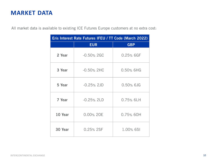#### **MARKET DATA**

All market data is available to existing ICE Futures Europe customers at no extra cost:

| Eris Interest Rate Futures IFEU / TT Code (March 2022) |               |              |  |  |
|--------------------------------------------------------|---------------|--------------|--|--|
|                                                        | <b>EUR</b>    | <b>GBP</b>   |  |  |
| 2 Year                                                 | $-0.50\%$ 2GC | 0.25% 6GF    |  |  |
| 3 Year                                                 | $-0.50\%$ 2HC | 0.50% 6HG    |  |  |
| 5 Year                                                 | $-0.25\%$ 2JD | $0.50\%$ 6JG |  |  |
| 7 Year                                                 | $-0.25%$ 2LD  | 0.75% 6LH    |  |  |
| 10 Year                                                | 0.00% 20E     | 0.75% 60H    |  |  |
| 30 Year                                                | 0.25% 2SF     | 1.00% 6SI    |  |  |